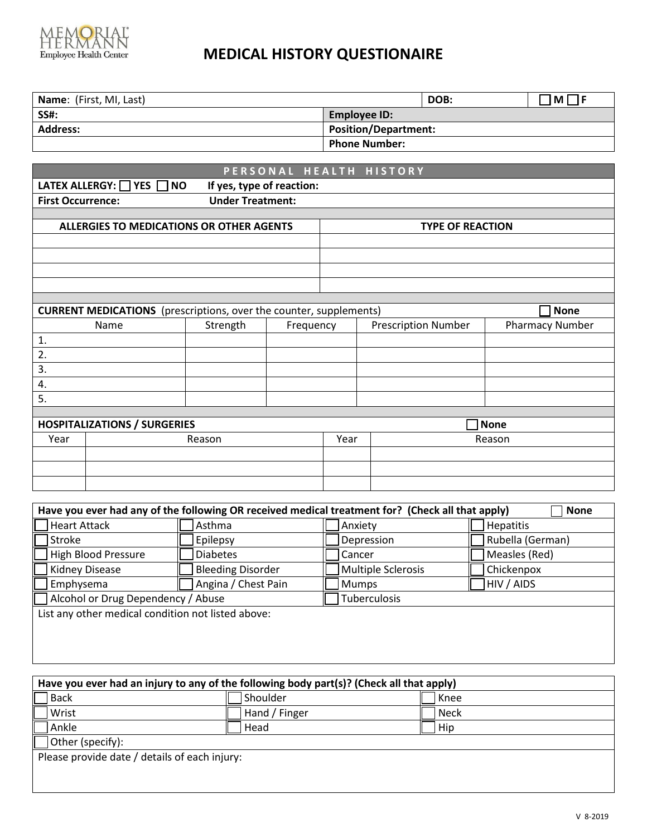

# **MEDICAL HISTORY QUESTIONAIRE**

| <b>Name:</b> (First, MI, Last) |                             | DOB: | IM I |
|--------------------------------|-----------------------------|------|------|
| <b>SS#:</b>                    | Employee ID:                |      |      |
| <b>Address:</b>                | <b>Position/Department:</b> |      |      |
|                                | <b>Phone Number:</b>        |      |      |

| PERSONAL HEALTH HISTORY                                          |                                                                           |                         |           |      |                            |                        |
|------------------------------------------------------------------|---------------------------------------------------------------------------|-------------------------|-----------|------|----------------------------|------------------------|
| LATEX ALLERGY: $\Box$ YES $\Box$ NO<br>If yes, type of reaction: |                                                                           |                         |           |      |                            |                        |
| <b>First Occurrence:</b>                                         |                                                                           | <b>Under Treatment:</b> |           |      |                            |                        |
|                                                                  |                                                                           |                         |           |      |                            |                        |
|                                                                  | ALLERGIES TO MEDICATIONS OR OTHER AGENTS                                  |                         |           |      | <b>TYPE OF REACTION</b>    |                        |
|                                                                  |                                                                           |                         |           |      |                            |                        |
|                                                                  |                                                                           |                         |           |      |                            |                        |
|                                                                  |                                                                           |                         |           |      |                            |                        |
|                                                                  |                                                                           |                         |           |      |                            |                        |
|                                                                  |                                                                           |                         |           |      |                            |                        |
|                                                                  | <b>CURRENT MEDICATIONS</b> (prescriptions, over the counter, supplements) |                         |           |      |                            | <b>None</b>            |
|                                                                  | Name                                                                      | Strength                | Frequency |      | <b>Prescription Number</b> | <b>Pharmacy Number</b> |
| $\mathbf{1}$ .                                                   |                                                                           |                         |           |      |                            |                        |
| 2.                                                               |                                                                           |                         |           |      |                            |                        |
| 3.                                                               |                                                                           |                         |           |      |                            |                        |
| 4.                                                               |                                                                           |                         |           |      |                            |                        |
| 5.                                                               |                                                                           |                         |           |      |                            |                        |
|                                                                  |                                                                           |                         |           |      |                            |                        |
| <b>HOSPITALIZATIONS / SURGERIES</b><br><b>None</b>               |                                                                           |                         |           |      |                            |                        |
| Year                                                             |                                                                           | Reason                  |           | Year | Reason                     |                        |
|                                                                  |                                                                           |                         |           |      |                            |                        |
|                                                                  |                                                                           |                         |           |      |                            |                        |
|                                                                  |                                                                           |                         |           |      |                            |                        |

| Have you ever had any of the following OR received medical treatment for? (Check all that apply)<br><b>None</b> |                    |                  |  |  |
|-----------------------------------------------------------------------------------------------------------------|--------------------|------------------|--|--|
| Asthma                                                                                                          | Anxiety            | <b>Hepatitis</b> |  |  |
| <b>Epilepsy</b>                                                                                                 | Depression         | Rubella (German) |  |  |
| <b>Diabetes</b>                                                                                                 | Cancer             | Measles (Red)    |  |  |
| <b>Bleeding Disorder</b>                                                                                        | Multiple Sclerosis | Chickenpox       |  |  |
| Angina / Chest Pain                                                                                             | <b>Mumps</b>       | HIV / AIDS       |  |  |
| Alcohol or Drug Dependency / Abuse<br><b>Tuberculosis</b>                                                       |                    |                  |  |  |
| List any other medical condition not listed above:                                                              |                    |                  |  |  |
|                                                                                                                 |                    |                  |  |  |
|                                                                                                                 |                    |                  |  |  |
|                                                                                                                 |                    |                  |  |  |

| Have you ever had an injury to any of the following body part(s)? (Check all that apply) |               |      |  |  |
|------------------------------------------------------------------------------------------|---------------|------|--|--|
| Back                                                                                     | Shoulder      | Knee |  |  |
| Wrist                                                                                    | Hand / Finger | Neck |  |  |
| Ankle                                                                                    | Head          | Hip  |  |  |
| Other (specify):                                                                         |               |      |  |  |
| Please provide date / details of each injury:                                            |               |      |  |  |
|                                                                                          |               |      |  |  |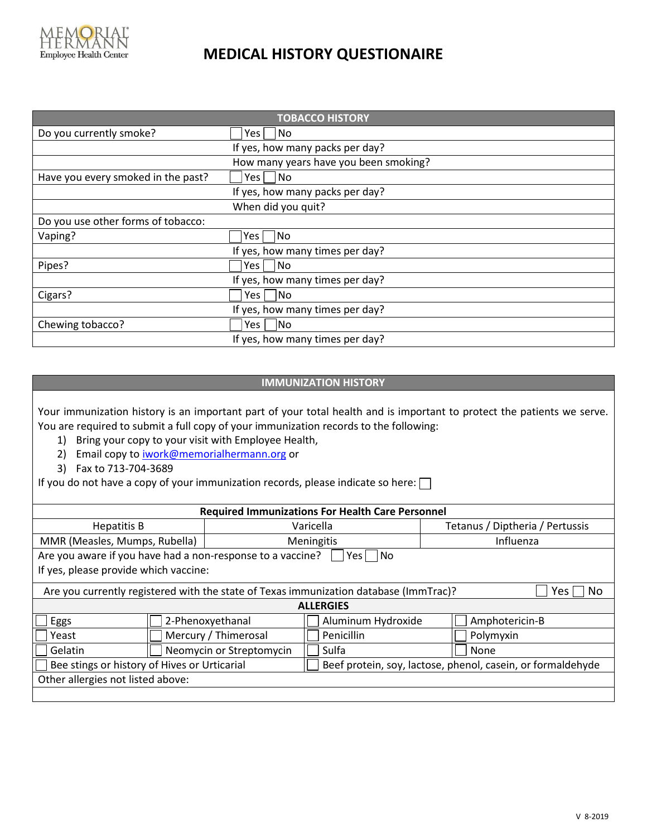

### **MEDICAL HISTORY QUESTIONAIRE**

| <b>TOBACCO HISTORY</b>             |                                       |  |  |
|------------------------------------|---------------------------------------|--|--|
| Do you currently smoke?            | No.<br>Yes l                          |  |  |
|                                    | If yes, how many packs per day?       |  |  |
|                                    | How many years have you been smoking? |  |  |
| Have you every smoked in the past? | l No<br>Yes l                         |  |  |
|                                    | If yes, how many packs per day?       |  |  |
|                                    | When did you quit?                    |  |  |
| Do you use other forms of tobacco: |                                       |  |  |
| Vaping?                            | No<br>Yes                             |  |  |
|                                    | If yes, how many times per day?       |  |  |
| Pipes?                             | No.<br>Yes                            |  |  |
|                                    | If yes, how many times per day?       |  |  |
| Cigars?                            | lNo<br>Yes l                          |  |  |
|                                    | If yes, how many times per day?       |  |  |
| Chewing tobacco?                   | No<br>Yes l                           |  |  |
|                                    | If yes, how many times per day?       |  |  |

#### **IMMUNIZATION HISTORY**

Your immunization history is an important part of your total health and is important to protect the patients we serve. You are required to submit a full copy of your immunization records to the following:

- 1) Bring your copy to your visit with Employee Health,
- 2) Email copy t[o iwork@memorialhermann.org](mailto:iwork@memorialhermann.org) or
- 3) Fax to 713-704-3689

If you do not have a copy of your immunization records, please indicate so here:  $\square$ 

| <b>Required Immunizations For Health Care Personnel</b> |                                                                                                     |                    |                                                             |  |
|---------------------------------------------------------|-----------------------------------------------------------------------------------------------------|--------------------|-------------------------------------------------------------|--|
| <b>Hepatitis B</b>                                      |                                                                                                     | Varicella          | Tetanus / Diptheria / Pertussis                             |  |
| MMR (Measles, Mumps, Rubella)                           |                                                                                                     | Meningitis         | Influenza                                                   |  |
|                                                         | Are you aware if you have had a non-response to a vaccine?<br>Yes   INo                             |                    |                                                             |  |
| If yes, please provide which vaccine:                   |                                                                                                     |                    |                                                             |  |
|                                                         | Are you currently registered with the state of Texas immunization database (ImmTrac)?<br>No<br>Yes. |                    |                                                             |  |
| <b>ALLERGIES</b>                                        |                                                                                                     |                    |                                                             |  |
| Eggs                                                    | 2-Phenoxyethanal                                                                                    | Aluminum Hydroxide | Amphotericin-B                                              |  |
| Yeast                                                   | Mercury / Thimerosal                                                                                | Penicillin         | Polymyxin                                                   |  |
| Gelatin                                                 | Neomycin or Streptomycin                                                                            | Sulfa              | None                                                        |  |
| Bee stings or history of Hives or Urticarial            |                                                                                                     |                    | Beef protein, soy, lactose, phenol, casein, or formaldehyde |  |
| Other allergies not listed above:                       |                                                                                                     |                    |                                                             |  |
|                                                         |                                                                                                     |                    |                                                             |  |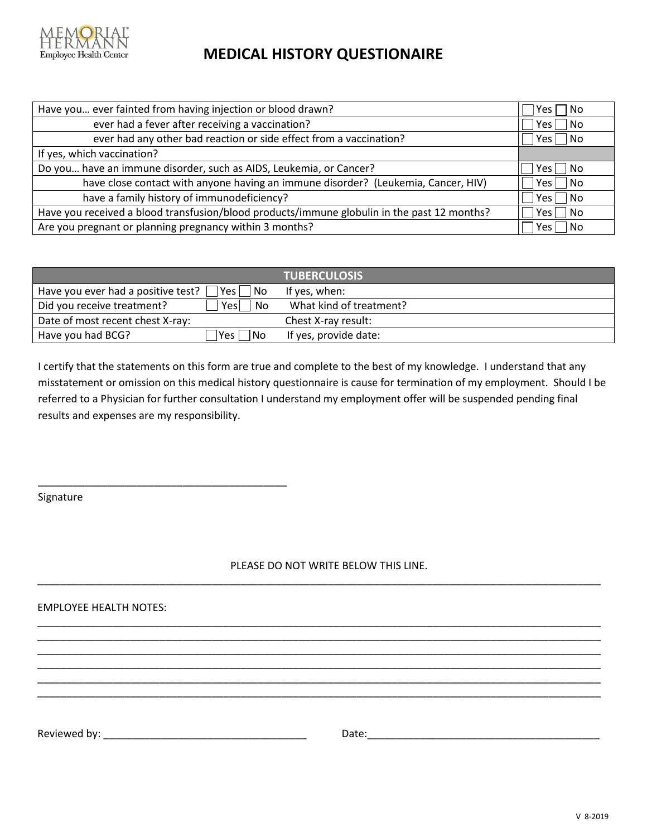

## **MEDICAL HISTORY QUESTIONAIRE**

| Have you ever fainted from having injection or blood drawn?                                 | No<br>Yes l        |
|---------------------------------------------------------------------------------------------|--------------------|
| ever had a fever after receiving a vaccination?                                             | No<br>Yes.         |
| ever had any other bad reaction or side effect from a vaccination?                          | No.<br>Yes l       |
| If yes, which vaccination?                                                                  |                    |
| Do you have an immune disorder, such as AIDS, Leukemia, or Cancer?                          | No.<br>Yesl        |
| have close contact with anyone having an immune disorder? (Leukemia, Cancer, HIV)           | <b>No</b><br>Yes l |
| have a family history of immunodeficiency?                                                  | No<br>Yes l        |
| Have you received a blood transfusion/blood products/immune globulin in the past 12 months? | No<br>Yes l        |
| Are you pregnant or planning pregnancy within 3 months?                                     | No<br>Yes.         |

|                                                       | <b>TUBERCULOSIS</b>     |
|-------------------------------------------------------|-------------------------|
| Have you ever had a positive test? [<br> Yes <br>No l | If yes, when:           |
| Did you receive treatment?<br>Yes<br><b>No</b>        | What kind of treatment? |
| Date of most recent chest X-ray:                      | Chest X-ray result:     |
| Have you had BCG?<br>lYes.<br> No                     | If yes, provide date:   |

I certify that the statements on this form are true and complete to the best of my knowledge. I understand that any misstatement or omission on this medical history questionnaire is cause for termination of my employment. Should I be referred to a Physician for further consultation I understand my employment offer will be suspended pending final results and expenses are my responsibility.

Signature

PLEASE DO NOT WRITE BELOW THIS LINE.

\_\_\_\_\_\_\_\_\_\_\_\_\_\_\_\_\_\_\_\_\_\_\_\_\_\_\_\_\_\_\_\_\_\_\_\_\_\_\_\_\_\_\_\_\_\_\_\_\_\_\_\_\_\_\_\_\_\_\_\_\_\_\_\_\_\_\_\_\_\_\_\_\_\_\_\_\_\_\_\_\_\_\_\_\_\_\_\_\_\_\_\_\_\_\_\_\_

\_\_\_\_\_\_\_\_\_\_\_\_\_\_\_\_\_\_\_\_\_\_\_\_\_\_\_\_\_\_\_\_\_\_\_\_\_\_\_\_\_\_\_\_\_\_\_\_\_\_\_\_\_\_\_\_\_\_\_\_\_\_\_\_\_\_\_\_\_\_\_\_\_\_\_\_\_\_\_\_\_\_\_\_\_\_\_\_\_\_\_\_\_\_\_\_\_ \_\_\_\_\_\_\_\_\_\_\_\_\_\_\_\_\_\_\_\_\_\_\_\_\_\_\_\_\_\_\_\_\_\_\_\_\_\_\_\_\_\_\_\_\_\_\_\_\_\_\_\_\_\_\_\_\_\_\_\_\_\_\_\_\_\_\_\_\_\_\_\_\_\_\_\_\_\_\_\_\_\_\_\_\_\_\_\_\_\_\_\_\_\_\_\_\_ \_\_\_\_\_\_\_\_\_\_\_\_\_\_\_\_\_\_\_\_\_\_\_\_\_\_\_\_\_\_\_\_\_\_\_\_\_\_\_\_\_\_\_\_\_\_\_\_\_\_\_\_\_\_\_\_\_\_\_\_\_\_\_\_\_\_\_\_\_\_\_\_\_\_\_\_\_\_\_\_\_\_\_\_\_\_\_\_\_\_\_\_\_\_\_\_\_ \_\_\_\_\_\_\_\_\_\_\_\_\_\_\_\_\_\_\_\_\_\_\_\_\_\_\_\_\_\_\_\_\_\_\_\_\_\_\_\_\_\_\_\_\_\_\_\_\_\_\_\_\_\_\_\_\_\_\_\_\_\_\_\_\_\_\_\_\_\_\_\_\_\_\_\_\_\_\_\_\_\_\_\_\_\_\_\_\_\_\_\_\_\_\_\_\_ \_\_\_\_\_\_\_\_\_\_\_\_\_\_\_\_\_\_\_\_\_\_\_\_\_\_\_\_\_\_\_\_\_\_\_\_\_\_\_\_\_\_\_\_\_\_\_\_\_\_\_\_\_\_\_\_\_\_\_\_\_\_\_\_\_\_\_\_\_\_\_\_\_\_\_\_\_\_\_\_\_\_\_\_\_\_\_\_\_\_\_\_\_\_\_\_\_ \_\_\_\_\_\_\_\_\_\_\_\_\_\_\_\_\_\_\_\_\_\_\_\_\_\_\_\_\_\_\_\_\_\_\_\_\_\_\_\_\_\_\_\_\_\_\_\_\_\_\_\_\_\_\_\_\_\_\_\_\_\_\_\_\_\_\_\_\_\_\_\_\_\_\_\_\_\_\_\_\_\_\_\_\_\_\_\_\_\_\_\_\_\_\_\_\_

EMPLOYEE HEALTH NOTES:

\_\_\_\_\_\_\_\_\_\_\_\_\_\_\_\_\_\_\_\_\_\_\_\_\_\_\_\_\_\_\_\_\_\_\_\_\_\_\_\_\_\_\_

Reviewed by: \_\_\_\_\_\_\_\_\_\_\_\_\_\_\_\_\_\_\_\_\_\_\_\_\_\_\_\_\_\_\_\_\_\_\_ Date:\_\_\_\_\_\_\_\_\_\_\_\_\_\_\_\_\_\_\_\_\_\_\_\_\_\_\_\_\_\_\_\_\_\_\_\_\_\_\_\_